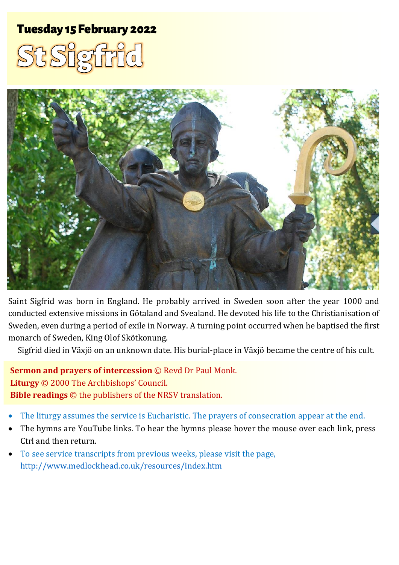# Tuesday 15 February 2022 1 St Sigfridge St Sigfridge St Sigfridge St Sigfridge St Sigfridge St Sigfridge St Sig





Saint Sigfrid was born in England. He probably arrived in Sweden soon after the year 1000 and conducted extensive missions in Götaland and Svealand. He devoted his life to the Christianisation of Sweden, even during a period of exile in Norway. A turning point occurred when he baptised the first monarch of Sweden, King Olof Skötkonung.

Sigfrid died in Växjö on an unknown date. His burial-place in Växjö became the centre of his cult.

**Sermon and prayers of intercession** © Revd Dr Paul Monk. **Liturgy** © 2000 The Archbishops' Council. **Bible readings** © the publishers of the NRSV translation.

- The liturgy assumes the service is Eucharistic. The prayers of consecration appear at the end.
- The hymns are YouTube links. To hear the hymns please hover the mouse over each link, press Ctrl and then return.
- To see service transcripts from previous weeks, please visit the page, <http://www.medlockhead.co.uk/resources/index.htm>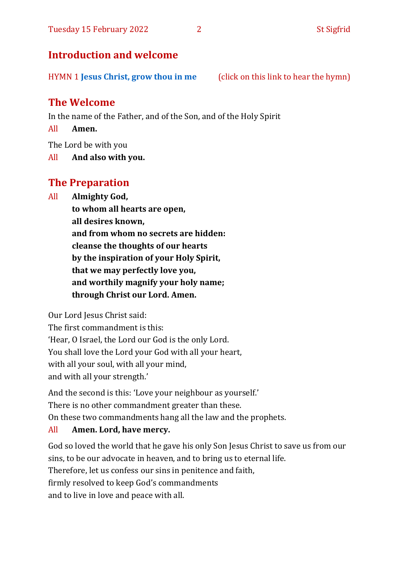### **Introduction and welcome**

HYMN 1 **Jesus [Christ, grow thou in me](https://www.youtube.com/watch?v=4RF_ZYJ1Umw)** (click on this link to hear the hymn)

## **The Welcome**

In the name of the Father, and of the Son, and of the Holy Spirit

All **Amen.**

The Lord be with you

All **And also with you.**

## **The Preparation**

All **Almighty God,**

**to whom all hearts are open, all desires known, and from whom no secrets are hidden: cleanse the thoughts of our hearts by the inspiration of your Holy Spirit, that we may perfectly love you, and worthily magnify your holy name; through Christ our Lord. Amen.**

Our Lord Jesus Christ said:

The first commandment is this: 'Hear, O Israel, the Lord our God is the only Lord. You shall love the Lord your God with all your heart, with all your soul, with all your mind, and with all your strength.'

And the second is this: 'Love your neighbour as yourself.' There is no other commandment greater than these. On these two commandments hang all the law and the prophets.

#### All **Amen. Lord, have mercy.**

God so loved the world that he gave his only Son Jesus Christ to save us from our sins, to be our advocate in heaven, and to bring us to eternal life. Therefore, let us confess our sins in penitence and faith, firmly resolved to keep God's commandments and to live in love and peace with all.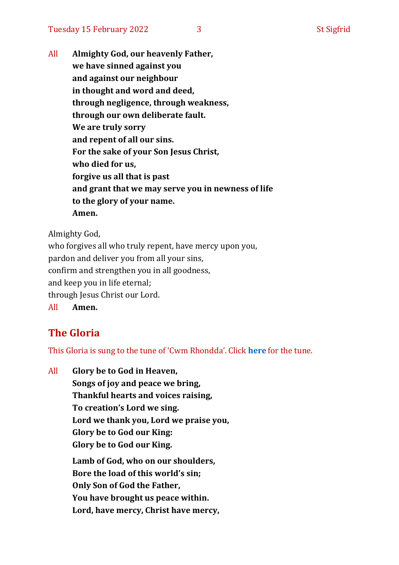All **Almighty God, our heavenly Father, we have sinned against you and against our neighbour in thought and word and deed, through negligence, through weakness, through our own deliberate fault. We are truly sorry and repent of all our sins. For the sake of your Son Jesus Christ, who died for us, forgive us all that is past and grant that we may serve you in newness of life to the glory of your name. Amen.**

Almighty God,

who forgives all who truly repent, have mercy upon you, pardon and deliver you from all your sins, confirm and strengthen you in all goodness, and keep you in life eternal; through Jesus Christ our Lord. All **Amen.**

# **The Gloria**

This Gloria is sung to the tune of 'Cwm Rhondda'. Click **[here](about:blank)** for the tune.

All **Glory be to God in Heaven, Songs of joy and peace we bring, Thankful hearts and voices raising, To creation's Lord we sing. Lord we thank you, Lord we praise you, Glory be to God our King: Glory be to God our King. Lamb of God, who on our shoulders, Bore the load of this world's sin; Only Son of God the Father, You have brought us peace within. Lord, have mercy, Christ have mercy,**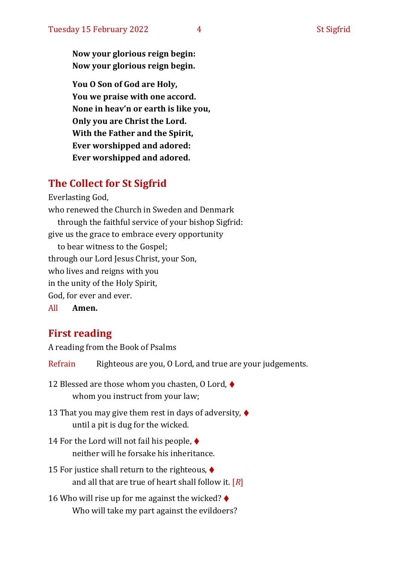**Now your glorious reign begin: Now your glorious reign begin.**

**You O Son of God are Holy, You we praise with one accord. None in heav'n or earth is like you, Only you are Christ the Lord. With the Father and the Spirit, Ever worshipped and adored: Ever worshipped and adored.**

## **The Collect for St Sigfrid**

Everlasting God,

who renewed the Church in Sweden and Denmark through the faithful service of your bishop Sigfrid: give us the grace to embrace every opportunity to bear witness to the Gospel; through our Lord Jesus Christ, your Son, who lives and reigns with you in the unity of the Holy Spirit, God, for ever and ever.

All **Amen.**

## **First reading**

A reading from the Book of Psalms

Refrain Righteous are you, 0 Lord, and true are your judgements.

- 12 Blessed are those whom you chasten, O Lord,  $\blacklozenge$ whom you instruct from your law;
- 13 That you may give them rest in days of adversity,  $\blacklozenge$ until a pit is dug for the wicked.
- 14 For the Lord will not fail his people, ♦ neither will he forsake his inheritance.
- 15 For justice shall return to the righteous, ♦ and all that are true of heart shall follow it. [*R*]
- 16 Who will rise up for me against the wicked?  $\blacklozenge$ Who will take my part against the evildoers?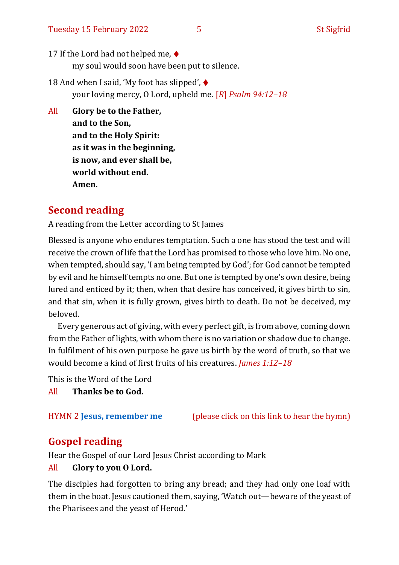- 17 If the Lord had not helped me,  $\blacklozenge$ my soul would soon have been put to silence.
- 18 And when I said, 'My foot has slipped',  $\blacklozenge$ your loving mercy, O Lord, upheld me. [*R*] *Psalm 94:12–18*
- All **Glory be to the Father, and to the Son, and to the Holy Spirit: as it was in the beginning, is now, and ever shall be, world without end. Amen.**

# **Second reading**

A reading from the Letter according to St James

Blessed is anyone who endures temptation. Such a one has stood the test and will receive the crown of life that the Lord has promised to those who love him. No one, when tempted, should say, 'I am being tempted by God'; for God cannot be tempted by evil and he himself tempts no one. But one is tempted by one's own desire, being lured and enticed by it; then, when that desire has conceived, it gives birth to sin, and that sin, when it is fully grown, gives birth to death. Do not be deceived, my beloved.

Every generous act of giving, with every perfect gift, is from above, coming down from the Father of lights, with whom there is no variation or shadow due to change. In fulfilment of his own purpose he gave us birth by the word of truth, so that we would become a kind of first fruits of his creatures. *James 1:12–18*

This is the Word of the Lord

All **Thanks be to God.**

HYMN 2 **[Jesus, remember me](https://www.youtube.com/watch?v=r6tVReXsioM)** (please click on this link to hear the hymn)

# **Gospel reading**

Hear the Gospel of our Lord Jesus Christ according to Mark

#### All **Glory to you O Lord.**

The disciples had forgotten to bring any bread; and they had only one loaf with them in the boat. Jesus cautioned them, saying, 'Watch out—beware of the yeast of the Pharisees and the yeast of Herod.'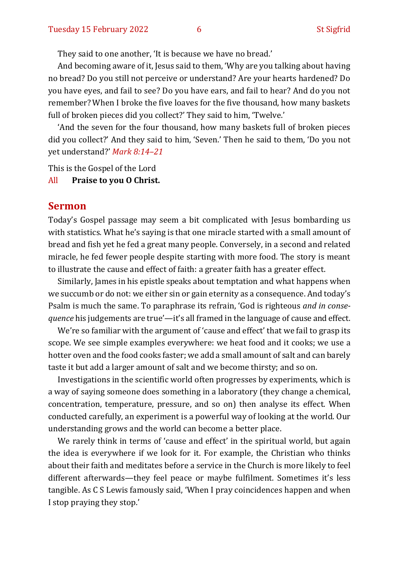They said to one another, 'It is because we have no bread.'

And becoming aware of it, Jesus said to them, 'Why are you talking about having no bread? Do you still not perceive or understand? Are your hearts hardened? Do you have eyes, and fail to see? Do you have ears, and fail to hear? And do you not remember? When I broke the five loaves for the five thousand, how many baskets full of broken pieces did you collect?' They said to him, 'Twelve.'

'And the seven for the four thousand, how many baskets full of broken pieces did you collect?' And they said to him, 'Seven.' Then he said to them, 'Do you not yet understand?' *Mark 8:14–21*

This is the Gospel of the Lord

All **Praise to you O Christ.** 

#### **Sermon**

Today's Gospel passage may seem a bit complicated with Jesus bombarding us with statistics. What he's saying is that one miracle started with a small amount of bread and fish yet he fed a great many people. Conversely, in a second and related miracle, he fed fewer people despite starting with more food. The story is meant to illustrate the cause and effect of faith: a greater faith has a greater effect.

Similarly, James in his epistle speaks about temptation and what happens when we succumb or do not: we either sin or gain eternity as a consequence. And today's Psalm is much the same. To paraphrase its refrain, 'God is righteous *and in consequence* his judgements are true'—it's all framed in the language of cause and effect.

We're so familiar with the argument of 'cause and effect' that we fail to grasp its scope. We see simple examples everywhere: we heat food and it cooks; we use a hotter oven and the food cooks faster; we add a small amount of salt and can barely taste it but add a larger amount of salt and we become thirsty; and so on.

Investigations in the scientific world often progresses by experiments, which is a way of saying someone does something in a laboratory (they change a chemical, concentration, temperature, pressure, and so on) then analyse its effect. When conducted carefully, an experiment is a powerful way of looking at the world. Our understanding grows and the world can become a better place.

We rarely think in terms of 'cause and effect' in the spiritual world, but again the idea is everywhere if we look for it. For example, the Christian who thinks about their faith and meditates before a service in the Church is more likely to feel different afterwards—they feel peace or maybe fulfilment. Sometimes it's less tangible. As C S Lewis famously said, 'When I pray coincidences happen and when I stop praying they stop.'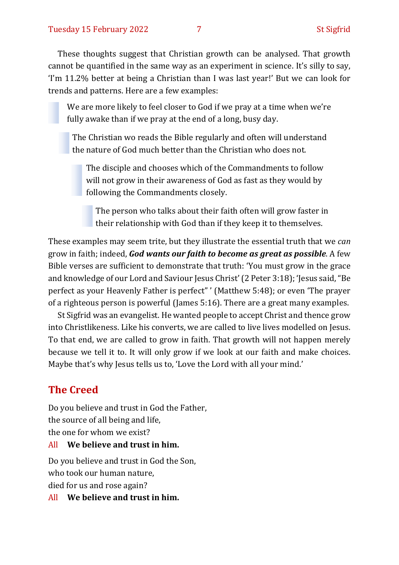These thoughts suggest that Christian growth can be analysed. That growth cannot be quantified in the same way as an experiment in science. It's silly to say, 'I'm 11.2% better at being a Christian than I was last year!' But we can look for trends and patterns. Here are a few examples:

We are more likely to feel closer to God if we pray at a time when we're fully awake than if we pray at the end of a long, busy day.

The Christian wo reads the Bible regularly and often will understand the nature of God much better than the Christian who does not.

The disciple and chooses which of the Commandments to follow will not grow in their awareness of God as fast as they would by following the Commandments closely.

The person who talks about their faith often will grow faster in their relationship with God than if they keep it to themselves.

These examples may seem trite, but they illustrate the essential truth that we *can* grow in faith; indeed, *God wants our faith to become as great as possible*. A few Bible verses are sufficient to demonstrate that truth: 'You must grow in the grace and knowledge of our Lord and Saviour Jesus Christ'(2 Peter 3:18); 'Jesus said, "Be perfect as your Heavenly Father is perfect" ' (Matthew 5:48); or even 'The prayer of a righteous person is powerful (James 5:16). There are a great many examples.

St Sigfrid was an evangelist. He wanted people to accept Christ and thence grow into Christlikeness. Like his converts, we are called to live lives modelled on Jesus. To that end, we are called to grow in faith. That growth will not happen merely because we tell it to. It will only grow if we look at our faith and make choices. Maybe that's why Jesus tells us to, 'Love the Lord with all your mind.'

## **The Creed**

Do you believe and trust in God the Father, the source of all being and life, the one for whom we exist?

#### All **We believe and trust in him.**

Do you believe and trust in God the Son, who took our human nature, died for us and rose again?

All **We believe and trust in him.**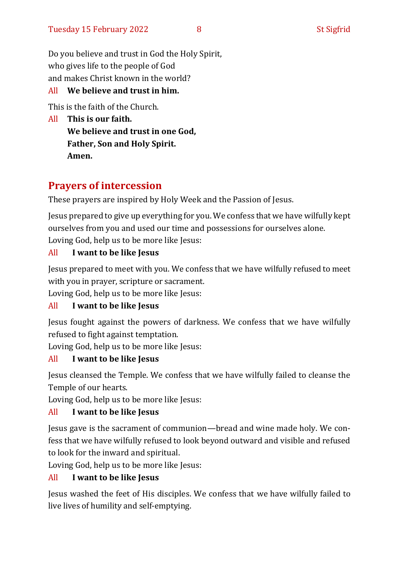Do you believe and trust in God the Holy Spirit, who gives life to the people of God and makes Christ known in the world?

#### All **We believe and trust in him.**

This is the faith of the Church.

All **This is our faith. We believe and trust in one God, Father, Son and Holy Spirit. Amen.**

## **Prayers of intercession**

These prayers are inspired by Holy Week and the Passion of Jesus.

Jesus prepared to give up everything for you. We confess that we have wilfully kept ourselves from you and used our time and possessions for ourselves alone. Loving God, help us to be more like Jesus:

#### All **I want to be like Jesus**

Jesus prepared to meet with you. We confess that we have wilfully refused to meet with you in prayer, scripture or sacrament.

Loving God, help us to be more like Jesus:

#### All **I want to be like Jesus**

Jesus fought against the powers of darkness. We confess that we have wilfully refused to fight against temptation.

Loving God, help us to be more like Jesus:

### All **I want to be like Jesus**

Jesus cleansed the Temple. We confess that we have wilfully failed to cleanse the Temple of our hearts.

Loving God, help us to be more like Jesus:

### All **I want to be like Jesus**

Jesus gave is the sacrament of communion—bread and wine made holy. We confess that we have wilfully refused to look beyond outward and visible and refused to look for the inward and spiritual.

Loving God, help us to be more like Jesus:

### All **I want to be like Jesus**

Jesus washed the feet of His disciples. We confess that we have wilfully failed to live lives of humility and self-emptying.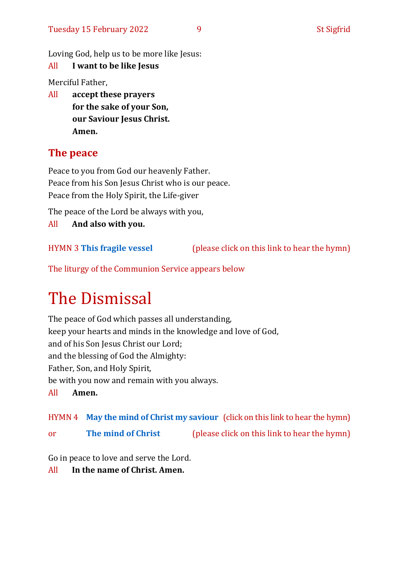Loving God, help us to be more like Jesus:

#### All **I want to be like Jesus**

Merciful Father,

All **accept these prayers for the sake of your Son, our Saviour Jesus Christ. Amen.**

# **The peace**

Peace to you from God our heavenly Father. Peace from his Son Jesus Christ who is our peace. Peace from the Holy Spirit, the Life-giver

The peace of the Lord be always with you,

All **And also with you.**

HYMN 3 **[This fragile vessel](https://www.youtube.com/watch?v=8RXxDgv-HvY)** (please click on this link to hear the hymn)

The liturgy of the Communion Service appears below

# The Dismissal

The peace of God which passes all understanding, keep your hearts and minds in the knowledge and love of God, and of his Son Jesus Christ our Lord; and the blessing of God the Almighty: Father, Son, and Holy Spirit, be with you now and remain with you always. All **Amen.**

HYMN 4 **[May the mind of Christ my saviour](https://www.youtube.com/watch?v=gE5fOXSymBc)** (click on this link to hear the hymn)

or **[The mind of Christ](https://www.youtube.com/watch?v=N-WOGQzvCJs)** (please click on this link to hear the hymn)

Go in peace to love and serve the Lord.

All **In the name of Christ. Amen.**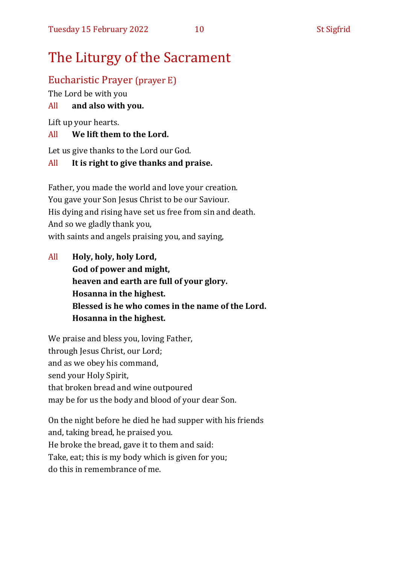# The Liturgy of the Sacrament

#### Eucharistic Prayer (prayer E)

The Lord be with you

#### All **and also with you.**

Lift up your hearts.

#### All **We lift them to the Lord.**

Let us give thanks to the Lord our God.

#### All **It is right to give thanks and praise.**

Father, you made the world and love your creation. You gave your Son Jesus Christ to be our Saviour. His dying and rising have set us free from sin and death. And so we gladly thank you, with saints and angels praising you, and saying,

All **Holy, holy, holy Lord, God of power and might, heaven and earth are full of your glory. Hosanna in the highest. Blessed is he who comes in the name of the Lord. Hosanna in the highest.**

We praise and bless you, loving Father, through Jesus Christ, our Lord; and as we obey his command, send your Holy Spirit, that broken bread and wine outpoured may be for us the body and blood of your dear Son.

On the night before he died he had supper with his friends and, taking bread, he praised you. He broke the bread, gave it to them and said: Take, eat; this is my body which is given for you; do this in remembrance of me.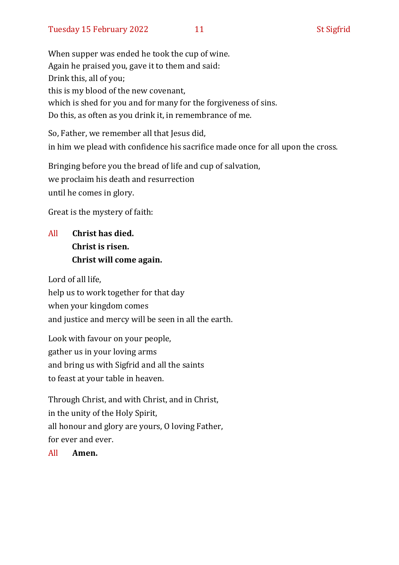When supper was ended he took the cup of wine. Again he praised you, gave it to them and said: Drink this, all of you; this is my blood of the new covenant, which is shed for you and for many for the forgiveness of sins. Do this, as often as you drink it, in remembrance of me.

So, Father, we remember all that Jesus did, in him we plead with confidence his sacrifice made once for all upon the cross.

Bringing before you the bread of life and cup of salvation, we proclaim his death and resurrection until he comes in glory.

Great is the mystery of faith:

# All **Christ has died. Christ is risen. Christ will come again.**

Lord of all life, help us to work together for that day when your kingdom comes and justice and mercy will be seen in all the earth.

Look with favour on your people, gather us in your loving arms and bring us with Sigfrid and all the saints to feast at your table in heaven.

Through Christ, and with Christ, and in Christ, in the unity of the Holy Spirit, all honour and glory are yours, O loving Father, for ever and ever.

All **Amen.**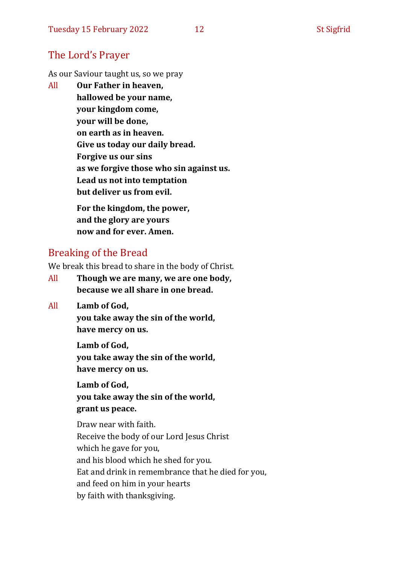## The Lord's Prayer

As our Saviour taught us, so we pray

All **Our Father in heaven, hallowed be your name, your kingdom come, your will be done, on earth as in heaven. Give us today our daily bread. Forgive us our sins as we forgive those who sin against us. Lead us not into temptation but deliver us from evil. For the kingdom, the power,** 

**and the glory are yours now and for ever. Amen.**

# Breaking of the Bread

We break this bread to share in the body of Christ.

- All **Though we are many, we are one body, because we all share in one bread.**
- All **Lamb of God,**

**you take away the sin of the world, have mercy on us.**

**Lamb of God, you take away the sin of the world, have mercy on us.**

**Lamb of God, you take away the sin of the world, grant us peace.**

Draw near with faith. Receive the body of our Lord Jesus Christ which he gave for you, and his blood which he shed for you. Eat and drink in remembrance that he died for you, and feed on him in your hearts by faith with thanksgiving.